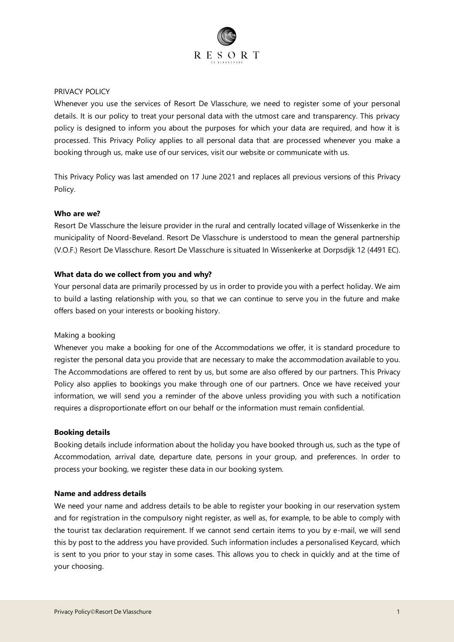

# PRIVACY POLICY

Whenever you use the services of Resort De Vlasschure, we need to register some of your personal details. It is our policy to treat your personal data with the utmost care and transparency. This privacy policy is designed to inform you about the purposes for which your data are required, and how it is processed. This Privacy Policy applies to all personal data that are processed whenever you make a booking through us, make use of our services, visit our website or communicate with us.

This Privacy Policy was last amended on 17 June 2021 and replaces all previous versions of this Privacy Policy.

# **Who are we?**

Resort De Vlasschure the leisure provider in the rural and centrally located village of Wissenkerke in the municipality of Noord-Beveland. Resort De Vlasschure is understood to mean the general partnership (V.O.F.) Resort De Vlasschure. Resort De Vlasschure is situated In Wissenkerke at Dorpsdijk 12 (4491 EC).

## **What data do we collect from you and why?**

Your personal data are primarily processed by us in order to provide you with a perfect holiday. We aim to build a lasting relationship with you, so that we can continue to serve you in the future and make offers based on your interests or booking history.

#### Making a booking

Whenever you make a booking for one of the Accommodations we offer, it is standard procedure to register the personal data you provide that are necessary to make the accommodation available to you. The Accommodations are offered to rent by us, but some are also offered by our partners. This Privacy Policy also applies to bookings you make through one of our partners. Once we have received your information, we will send you a reminder of the above unless providing you with such a notification requires a disproportionate effort on our behalf or the information must remain confidential.

#### **Booking details**

Booking details include information about the holiday you have booked through us, such as the type of Accommodation, arrival date, departure date, persons in your group, and preferences. In order to process your booking, we register these data in our booking system.

#### **Name and address details**

We need your name and address details to be able to register your booking in our reservation system and for registration in the compulsory night register, as well as, for example, to be able to comply with the tourist tax declaration requirement. If we cannot send certain items to you by e-mail, we will send this by post to the address you have provided. Such information includes a personalised Keycard, which is sent to you prior to your stay in some cases. This allows you to check in quickly and at the time of your choosing.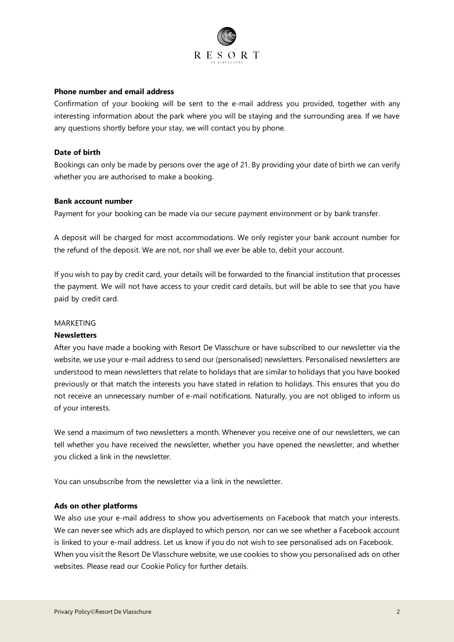

# **Phone number and email address**

Confirmation of your booking will be sent to the e-mail address you provided, together with any interesting information about the park where you will be staying and the surrounding area. If we have any questions shortly before your stay, we will contact you by phone.

## **Date of birth**

Bookings can only be made by persons over the age of 21. By providing your date of birth we can verify whether you are authorised to make a booking.

#### **Bank account number**

Payment for your booking can be made via our secure payment environment or by bank transfer.

A deposit will be charged for most accommodations. We only register your bank account number for the refund of the deposit. We are not, nor shall we ever be able to, debit your account.

If you wish to pay by credit card, your details will be forwarded to the financial institution that processes the payment. We will not have access to your credit card details, but will be able to see that you have paid by credit card.

# MARKETING

#### **Newsletters**

After you have made a booking with Resort De Vlasschure or have subscribed to our newsletter via the website, we use your e-mail address to send our (personalised) newsletters. Personalised newsletters are understood to mean newsletters that relate to holidays that are similar to holidays that you have booked previously or that match the interests you have stated in relation to holidays. This ensures that you do not receive an unnecessary number of e-mail notifications. Naturally, you are not obliged to inform us of your interests.

We send a maximum of two newsletters a month. Whenever you receive one of our newsletters, we can tell whether you have received the newsletter, whether you have opened the newsletter, and whether you clicked a link in the newsletter.

You can unsubscribe from the newsletter via a link in the newsletter.

#### **Ads on other platforms**

We also use your e-mail address to show you advertisements on Facebook that match your interests. We can never see which ads are displayed to which person, nor can we see whether a Facebook account is linked to your e-mail address. Let us know if you do not wish to see personalised ads on Facebook. When you visit the Resort De Vlasschure website, we use cookies to show you personalised ads on other websites. Please read our Cookie Policy for further details.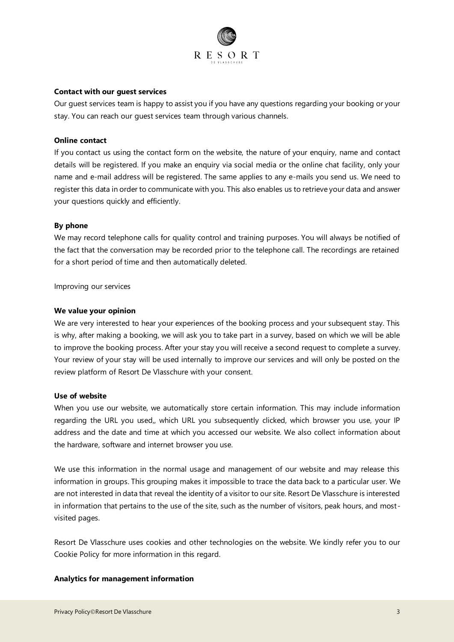

# **Contact with our guest services**

Our guest services team is happy to assist you if you have any questions regarding your booking or your stay. You can reach our guest services team through various channels.

# **Online contact**

If you contact us using the contact form on the website, the nature of your enquiry, name and contact details will be registered. If you make an enquiry via social media or the online chat facility, only your name and e-mail address will be registered. The same applies to any e-mails you send us. We need to register this data in order to communicate with you. This also enables us to retrieve your data and answer your questions quickly and efficiently.

## **By phone**

We may record telephone calls for quality control and training purposes. You will always be notified of the fact that the conversation may be recorded prior to the telephone call. The recordings are retained for a short period of time and then automatically deleted.

Improving our services

#### **We value your opinion**

We are very interested to hear your experiences of the booking process and your subsequent stay. This is why, after making a booking, we will ask you to take part in a survey, based on which we will be able to improve the booking process. After your stay you will receive a second request to complete a survey. Your review of your stay will be used internally to improve our services and will only be posted on the review platform of Resort De Vlasschure with your consent.

# **Use of website**

When you use our website, we automatically store certain information. This may include information regarding the URL you used,, which URL you subsequently clicked, which browser you use, your IP address and the date and time at which you accessed our website. We also collect information about the hardware, software and internet browser you use.

We use this information in the normal usage and management of our website and may release this information in groups. This grouping makes it impossible to trace the data back to a particular user. We are not interested in data that reveal the identity of a visitor to our site. Resort De Vlasschure is interested in information that pertains to the use of the site, such as the number of visitors, peak hours, and mostvisited pages.

Resort De Vlasschure uses cookies and other technologies on the website. We kindly refer you to our Cookie Policy for more information in this regard.

## **Analytics for management information**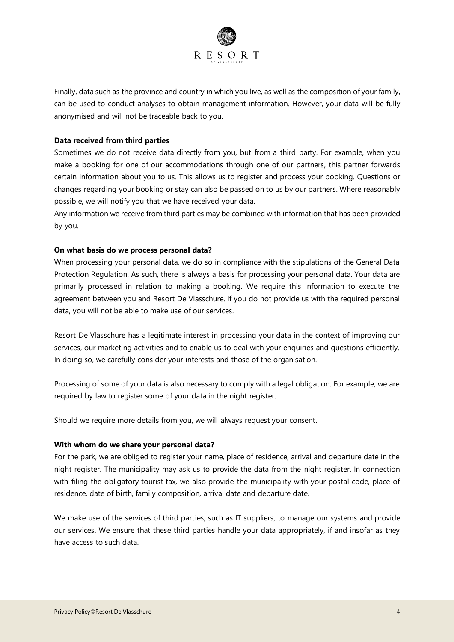

Finally, data such as the province and country in which you live, as well as the composition of your family, can be used to conduct analyses to obtain management information. However, your data will be fully anonymised and will not be traceable back to you.

# **Data received from third parties**

Sometimes we do not receive data directly from you, but from a third party. For example, when you make a booking for one of our accommodations through one of our partners, this partner forwards certain information about you to us. This allows us to register and process your booking. Questions or changes regarding your booking or stay can also be passed on to us by our partners. Where reasonably possible, we will notify you that we have received your data.

Any information we receive from third parties may be combined with information that has been provided by you.

## **On what basis do we process personal data?**

When processing your personal data, we do so in compliance with the stipulations of the General Data Protection Regulation. As such, there is always a basis for processing your personal data. Your data are primarily processed in relation to making a booking. We require this information to execute the agreement between you and Resort De Vlasschure. If you do not provide us with the required personal data, you will not be able to make use of our services.

Resort De Vlasschure has a legitimate interest in processing your data in the context of improving our services, our marketing activities and to enable us to deal with your enquiries and questions efficiently. In doing so, we carefully consider your interests and those of the organisation.

Processing of some of your data is also necessary to comply with a legal obligation. For example, we are required by law to register some of your data in the night register.

Should we require more details from you, we will always request your consent.

# **With whom do we share your personal data?**

For the park, we are obliged to register your name, place of residence, arrival and departure date in the night register. The municipality may ask us to provide the data from the night register. In connection with filing the obligatory tourist tax, we also provide the municipality with your postal code, place of residence, date of birth, family composition, arrival date and departure date.

We make use of the services of third parties, such as IT suppliers, to manage our systems and provide our services. We ensure that these third parties handle your data appropriately, if and insofar as they have access to such data.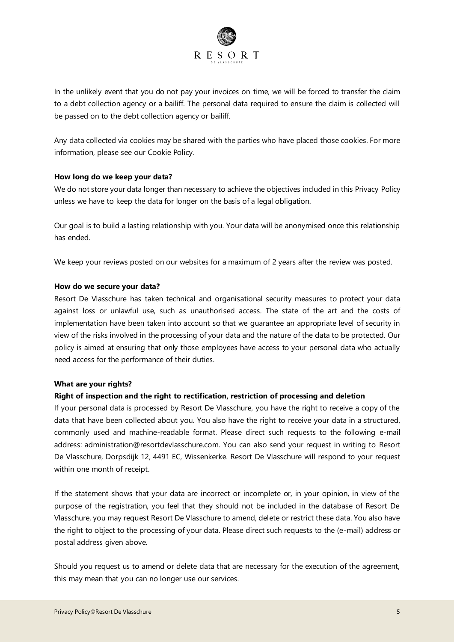

In the unlikely event that you do not pay your invoices on time, we will be forced to transfer the claim to a debt collection agency or a bailiff. The personal data required to ensure the claim is collected will be passed on to the debt collection agency or bailiff.

Any data collected via cookies may be shared with the parties who have placed those cookies. For more information, please see our Cookie Policy.

# **How long do we keep your data?**

We do not store your data longer than necessary to achieve the objectives included in this Privacy Policy unless we have to keep the data for longer on the basis of a legal obligation.

Our goal is to build a lasting relationship with you. Your data will be anonymised once this relationship has ended.

We keep your reviews posted on our websites for a maximum of 2 years after the review was posted.

# **How do we secure your data?**

Resort De Vlasschure has taken technical and organisational security measures to protect your data against loss or unlawful use, such as unauthorised access. The state of the art and the costs of implementation have been taken into account so that we guarantee an appropriate level of security in view of the risks involved in the processing of your data and the nature of the data to be protected. Our policy is aimed at ensuring that only those employees have access to your personal data who actually need access for the performance of their duties.

# **What are your rights?**

# **Right of inspection and the right to rectification, restriction of processing and deletion**

If your personal data is processed by Resort De Vlasschure, you have the right to receive a copy of the data that have been collected about you. You also have the right to receive your data in a structured, commonly used and machine-readable format. Please direct such requests to the following e-mail address: administration@resortdevlasschure.com. You can also send your request in writing to Resort De Vlasschure, Dorpsdijk 12, 4491 EC, Wissenkerke. Resort De Vlasschure will respond to your request within one month of receipt.

If the statement shows that your data are incorrect or incomplete or, in your opinion, in view of the purpose of the registration, you feel that they should not be included in the database of Resort De Vlasschure, you may request Resort De Vlasschure to amend, delete or restrict these data. You also have the right to object to the processing of your data. Please direct such requests to the (e-mail) address or postal address given above.

Should you request us to amend or delete data that are necessary for the execution of the agreement, this may mean that you can no longer use our services.